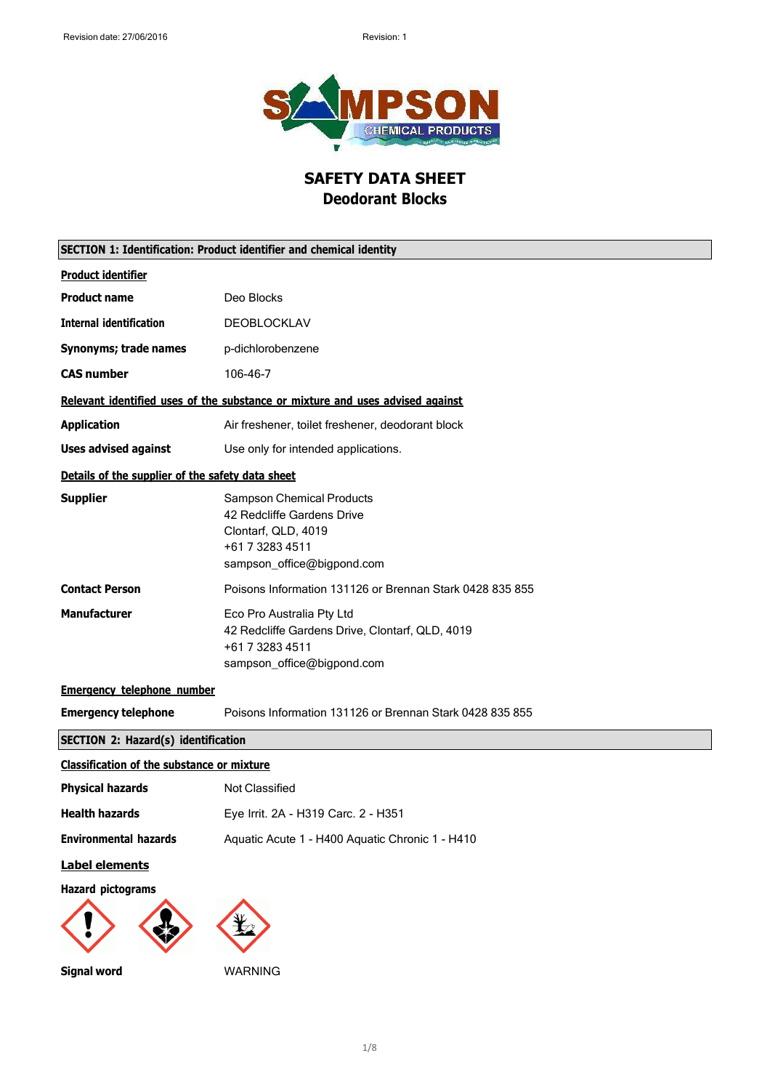

# **SAFETY DATA SHEET Deodorant Blocks**

|                                                   | SECTION 1: Identification: Product identifier and chemical identity                                                                    |
|---------------------------------------------------|----------------------------------------------------------------------------------------------------------------------------------------|
| <b>Product identifier</b>                         |                                                                                                                                        |
| <b>Product name</b>                               | Deo Blocks                                                                                                                             |
| <b>Internal identification</b>                    | DEOBLOCKLAV                                                                                                                            |
| Synonyms; trade names                             | p-dichlorobenzene                                                                                                                      |
| <b>CAS number</b>                                 | 106-46-7                                                                                                                               |
|                                                   | Relevant identified uses of the substance or mixture and uses advised against                                                          |
| <b>Application</b>                                | Air freshener, toilet freshener, deodorant block                                                                                       |
| <b>Uses advised against</b>                       | Use only for intended applications.                                                                                                    |
| Details of the supplier of the safety data sheet  |                                                                                                                                        |
| <b>Supplier</b>                                   | <b>Sampson Chemical Products</b><br>42 Redcliffe Gardens Drive<br>Clontarf, QLD, 4019<br>+61 7 3283 4511<br>sampson_office@bigpond.com |
| <b>Contact Person</b>                             | Poisons Information 131126 or Brennan Stark 0428 835 855                                                                               |
| <b>Manufacturer</b>                               | Eco Pro Australia Pty Ltd<br>42 Redcliffe Gardens Drive, Clontarf, QLD, 4019<br>+61 7 3283 4511<br>sampson_office@bigpond.com          |
| <b>Emergency telephone number</b>                 |                                                                                                                                        |
| <b>Emergency telephone</b>                        | Poisons Information 131126 or Brennan Stark 0428 835 855                                                                               |
| <b>SECTION 2: Hazard(s) identification</b>        |                                                                                                                                        |
| <b>Classification of the substance or mixture</b> |                                                                                                                                        |
| <b>Physical hazards</b>                           | Not Classified                                                                                                                         |
| <b>Health hazards</b>                             | Eye Irrit. 2A - H319 Carc. 2 - H351                                                                                                    |
| <b>Environmental hazards</b>                      | Aquatic Acute 1 - H400 Aquatic Chronic 1 - H410                                                                                        |
| <b>Label elements</b>                             |                                                                                                                                        |
| <b>Hazard pictograms</b>                          |                                                                                                                                        |
| <b>Signal word</b>                                | WARNING                                                                                                                                |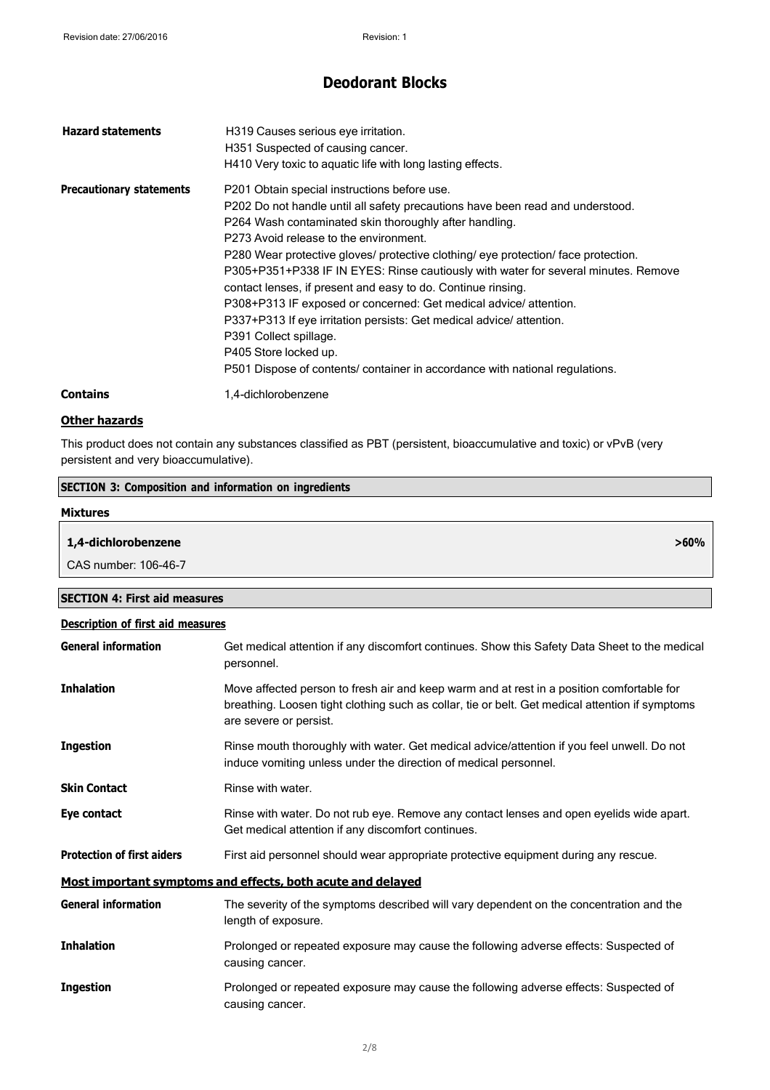| <b>Hazard statements</b>        | H319 Causes serious eye irritation.<br>H351 Suspected of causing cancer.<br>H410 Very toxic to aquatic life with long lasting effects.                                                                                                                                                                                                                                                                                                                                                                                                                                                                                                                                                                                                                       |
|---------------------------------|--------------------------------------------------------------------------------------------------------------------------------------------------------------------------------------------------------------------------------------------------------------------------------------------------------------------------------------------------------------------------------------------------------------------------------------------------------------------------------------------------------------------------------------------------------------------------------------------------------------------------------------------------------------------------------------------------------------------------------------------------------------|
| <b>Precautionary statements</b> | P201 Obtain special instructions before use.<br>P202 Do not handle until all safety precautions have been read and understood.<br>P264 Wash contaminated skin thoroughly after handling.<br>P273 Avoid release to the environment.<br>P280 Wear protective gloves/ protective clothing/ eye protection/ face protection.<br>P305+P351+P338 IF IN EYES: Rinse cautiously with water for several minutes. Remove<br>contact lenses, if present and easy to do. Continue rinsing.<br>P308+P313 IF exposed or concerned: Get medical advice/attention.<br>P337+P313 If eye irritation persists: Get medical advice/attention.<br>P391 Collect spillage.<br>P405 Store locked up.<br>P501 Dispose of contents/ container in accordance with national regulations. |
| <b>Contains</b>                 | 1,4-dichlorobenzene                                                                                                                                                                                                                                                                                                                                                                                                                                                                                                                                                                                                                                                                                                                                          |

### **Other hazards**

**SECTION 3: Composition and information on ingredients**

This product does not contain any substances classified as PBT (persistent, bioaccumulative and toxic) or vPvB (very persistent and very bioaccumulative).

| <b>Mixtures</b>                          |                                                                                                                                                                                                                        |
|------------------------------------------|------------------------------------------------------------------------------------------------------------------------------------------------------------------------------------------------------------------------|
| 1,4-dichlorobenzene                      | $>60\%$                                                                                                                                                                                                                |
| CAS number: 106-46-7                     |                                                                                                                                                                                                                        |
| <b>SECTION 4: First aid measures</b>     |                                                                                                                                                                                                                        |
| <b>Description of first aid measures</b> |                                                                                                                                                                                                                        |
| <b>General information</b>               | Get medical attention if any discomfort continues. Show this Safety Data Sheet to the medical<br>personnel.                                                                                                            |
| <b>Inhalation</b>                        | Move affected person to fresh air and keep warm and at rest in a position comfortable for<br>breathing. Loosen tight clothing such as collar, tie or belt. Get medical attention if symptoms<br>are severe or persist. |
| <b>Ingestion</b>                         | Rinse mouth thoroughly with water. Get medical advice/attention if you feel unwell. Do not<br>induce vomiting unless under the direction of medical personnel.                                                         |
| <b>Skin Contact</b>                      | Rinse with water.                                                                                                                                                                                                      |
| Eye contact                              | Rinse with water. Do not rub eye. Remove any contact lenses and open eyelids wide apart.<br>Get medical attention if any discomfort continues.                                                                         |
| <b>Protection of first aiders</b>        | First aid personnel should wear appropriate protective equipment during any rescue.                                                                                                                                    |
|                                          | Most important symptoms and effects, both acute and delayed                                                                                                                                                            |
| <b>General information</b>               | The severity of the symptoms described will vary dependent on the concentration and the<br>length of exposure.                                                                                                         |
| <b>Inhalation</b>                        | Prolonged or repeated exposure may cause the following adverse effects: Suspected of<br>causing cancer.                                                                                                                |
| <b>Ingestion</b>                         | Prolonged or repeated exposure may cause the following adverse effects: Suspected of<br>causing cancer.                                                                                                                |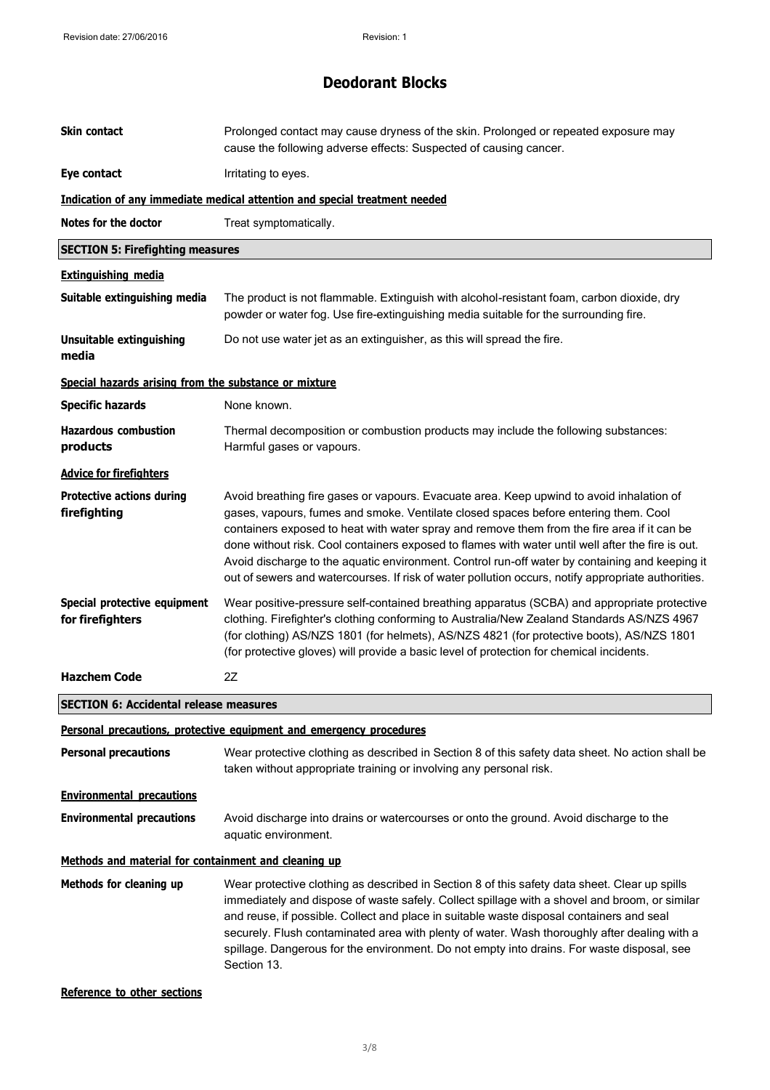| <b>Skin contact</b>                                   | Prolonged contact may cause dryness of the skin. Prolonged or repeated exposure may<br>cause the following adverse effects: Suspected of causing cancer.                                                                                                                                                                                                                                                                                                                                                                                                                                    |
|-------------------------------------------------------|---------------------------------------------------------------------------------------------------------------------------------------------------------------------------------------------------------------------------------------------------------------------------------------------------------------------------------------------------------------------------------------------------------------------------------------------------------------------------------------------------------------------------------------------------------------------------------------------|
| Eye contact                                           | Irritating to eyes.                                                                                                                                                                                                                                                                                                                                                                                                                                                                                                                                                                         |
|                                                       | Indication of any immediate medical attention and special treatment needed                                                                                                                                                                                                                                                                                                                                                                                                                                                                                                                  |
| Notes for the doctor                                  | Treat symptomatically.                                                                                                                                                                                                                                                                                                                                                                                                                                                                                                                                                                      |
| <b>SECTION 5: Firefighting measures</b>               |                                                                                                                                                                                                                                                                                                                                                                                                                                                                                                                                                                                             |
| <b>Extinguishing media</b>                            |                                                                                                                                                                                                                                                                                                                                                                                                                                                                                                                                                                                             |
| Suitable extinguishing media                          | The product is not flammable. Extinguish with alcohol-resistant foam, carbon dioxide, dry<br>powder or water fog. Use fire-extinguishing media suitable for the surrounding fire.                                                                                                                                                                                                                                                                                                                                                                                                           |
| <b>Unsuitable extinguishing</b><br>media              | Do not use water jet as an extinguisher, as this will spread the fire.                                                                                                                                                                                                                                                                                                                                                                                                                                                                                                                      |
| Special hazards arising from the substance or mixture |                                                                                                                                                                                                                                                                                                                                                                                                                                                                                                                                                                                             |
| <b>Specific hazards</b>                               | None known.                                                                                                                                                                                                                                                                                                                                                                                                                                                                                                                                                                                 |
| <b>Hazardous combustion</b><br>products               | Thermal decomposition or combustion products may include the following substances:<br>Harmful gases or vapours.                                                                                                                                                                                                                                                                                                                                                                                                                                                                             |
| <b>Advice for firefighters</b>                        |                                                                                                                                                                                                                                                                                                                                                                                                                                                                                                                                                                                             |
| <b>Protective actions during</b><br>firefighting      | Avoid breathing fire gases or vapours. Evacuate area. Keep upwind to avoid inhalation of<br>gases, vapours, fumes and smoke. Ventilate closed spaces before entering them. Cool<br>containers exposed to heat with water spray and remove them from the fire area if it can be<br>done without risk. Cool containers exposed to flames with water until well after the fire is out.<br>Avoid discharge to the aquatic environment. Control run-off water by containing and keeping it<br>out of sewers and watercourses. If risk of water pollution occurs, notify appropriate authorities. |
| Special protective equipment<br>for firefighters      | Wear positive-pressure self-contained breathing apparatus (SCBA) and appropriate protective<br>clothing. Firefighter's clothing conforming to Australia/New Zealand Standards AS/NZS 4967<br>(for clothing) AS/NZS 1801 (for helmets), AS/NZS 4821 (for protective boots), AS/NZS 1801<br>(for protective gloves) will provide a basic level of protection for chemical incidents.                                                                                                                                                                                                          |
| <b>Hazchem Code</b>                                   | 2Z                                                                                                                                                                                                                                                                                                                                                                                                                                                                                                                                                                                          |
| <b>SECTION 6: Accidental release measures</b>         |                                                                                                                                                                                                                                                                                                                                                                                                                                                                                                                                                                                             |
|                                                       | Personal precautions, protective equipment and emergency procedures                                                                                                                                                                                                                                                                                                                                                                                                                                                                                                                         |
| <b>Personal precautions</b>                           | Wear protective clothing as described in Section 8 of this safety data sheet. No action shall be<br>taken without appropriate training or involving any personal risk.                                                                                                                                                                                                                                                                                                                                                                                                                      |
| <b>Environmental precautions</b>                      |                                                                                                                                                                                                                                                                                                                                                                                                                                                                                                                                                                                             |
| <b>Environmental precautions</b>                      | Avoid discharge into drains or watercourses or onto the ground. Avoid discharge to the<br>aquatic environment.                                                                                                                                                                                                                                                                                                                                                                                                                                                                              |
| Methods and material for containment and cleaning up  |                                                                                                                                                                                                                                                                                                                                                                                                                                                                                                                                                                                             |
| Methods for cleaning up                               | Wear protective clothing as described in Section 8 of this safety data sheet. Clear up spills<br>immediately and dispose of waste safely. Collect spillage with a shovel and broom, or similar<br>and reuse, if possible. Collect and place in suitable waste disposal containers and seal<br>securely. Flush contaminated area with plenty of water. Wash thoroughly after dealing with a<br>spillage. Dangerous for the environment. Do not empty into drains. For waste disposal, see<br>Section 13.                                                                                     |

**Reference to other sections**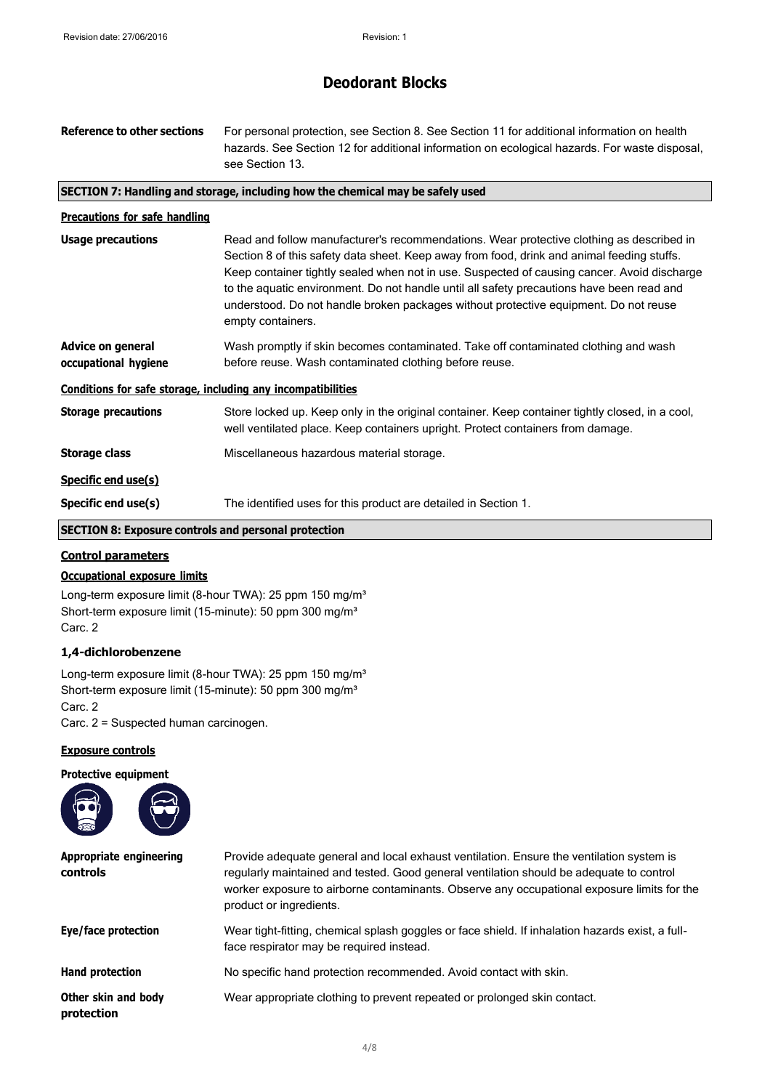| <b>Reference to other sections</b>                           | For personal protection, see Section 8. See Section 11 for additional information on health<br>hazards. See Section 12 for additional information on ecological hazards. For waste disposal,<br>see Section 13.                                                                                                                                                                                                                                                                                 |
|--------------------------------------------------------------|-------------------------------------------------------------------------------------------------------------------------------------------------------------------------------------------------------------------------------------------------------------------------------------------------------------------------------------------------------------------------------------------------------------------------------------------------------------------------------------------------|
|                                                              | SECTION 7: Handling and storage, including how the chemical may be safely used                                                                                                                                                                                                                                                                                                                                                                                                                  |
| <b>Precautions for safe handling</b>                         |                                                                                                                                                                                                                                                                                                                                                                                                                                                                                                 |
| <b>Usage precautions</b>                                     | Read and follow manufacturer's recommendations. Wear protective clothing as described in<br>Section 8 of this safety data sheet. Keep away from food, drink and animal feeding stuffs.<br>Keep container tightly sealed when not in use. Suspected of causing cancer. Avoid discharge<br>to the aquatic environment. Do not handle until all safety precautions have been read and<br>understood. Do not handle broken packages without protective equipment. Do not reuse<br>empty containers. |
| <b>Advice on general</b><br>occupational hygiene             | Wash promptly if skin becomes contaminated. Take off contaminated clothing and wash<br>before reuse. Wash contaminated clothing before reuse.                                                                                                                                                                                                                                                                                                                                                   |
| Conditions for safe storage, including any incompatibilities |                                                                                                                                                                                                                                                                                                                                                                                                                                                                                                 |
| <b>Storage precautions</b>                                   | Store locked up. Keep only in the original container. Keep container tightly closed, in a cool,<br>well ventilated place. Keep containers upright. Protect containers from damage.                                                                                                                                                                                                                                                                                                              |
| <b>Storage class</b>                                         | Miscellaneous hazardous material storage.                                                                                                                                                                                                                                                                                                                                                                                                                                                       |
| Specific end use(s)                                          |                                                                                                                                                                                                                                                                                                                                                                                                                                                                                                 |
| Specific end use(s)                                          | The identified uses for this product are detailed in Section 1.                                                                                                                                                                                                                                                                                                                                                                                                                                 |

## **SECTION 8: Exposure controls and personal protection**

### **Control parameters**

### **Occupational exposure limits**

Long-term exposure limit (8-hour TWA): 25 ppm 150 mg/m<sup>3</sup> Short-term exposure limit (15-minute): 50 ppm 300 mg/m<sup>3</sup> Carc. 2

### **1,4-dichlorobenzene**

Long-term exposure limit (8-hour TWA): 25 ppm 150 mg/m<sup>3</sup> Short-term exposure limit (15-minute): 50 ppm 300 mg/m<sup>3</sup> Carc. 2 Carc. 2 = Suspected human carcinogen.

### **Exposure controls**



| Appropriate engineering<br><b>controls</b> | Provide adequate general and local exhaust ventilation. Ensure the ventilation system is<br>regularly maintained and tested. Good general ventilation should be adequate to control<br>worker exposure to airborne contaminants. Observe any occupational exposure limits for the<br>product or ingredients. |
|--------------------------------------------|--------------------------------------------------------------------------------------------------------------------------------------------------------------------------------------------------------------------------------------------------------------------------------------------------------------|
| Eye/face protection                        | Wear tight-fitting, chemical splash goggles or face shield. If inhalation hazards exist, a full-<br>face respirator may be required instead.                                                                                                                                                                 |
| <b>Hand protection</b>                     | No specific hand protection recommended. Avoid contact with skin.                                                                                                                                                                                                                                            |
| Other skin and body<br>protection          | Wear appropriate clothing to prevent repeated or prolonged skin contact.                                                                                                                                                                                                                                     |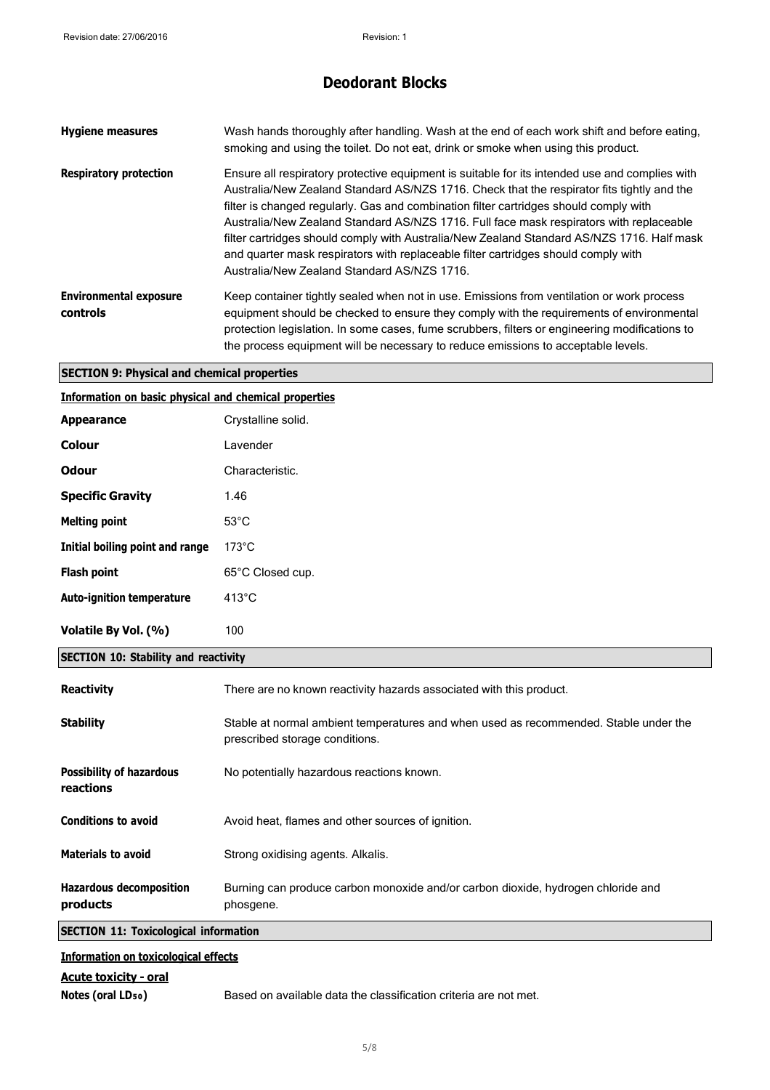| <b>Hygiene measures</b>                   | Wash hands thoroughly after handling. Wash at the end of each work shift and before eating,<br>smoking and using the toilet. Do not eat, drink or smoke when using this product.                                                                                                                                                                                                                                                                                                                                                                                                                                    |
|-------------------------------------------|---------------------------------------------------------------------------------------------------------------------------------------------------------------------------------------------------------------------------------------------------------------------------------------------------------------------------------------------------------------------------------------------------------------------------------------------------------------------------------------------------------------------------------------------------------------------------------------------------------------------|
| <b>Respiratory protection</b>             | Ensure all respiratory protective equipment is suitable for its intended use and complies with<br>Australia/New Zealand Standard AS/NZS 1716. Check that the respirator fits tightly and the<br>filter is changed regularly. Gas and combination filter cartridges should comply with<br>Australia/New Zealand Standard AS/NZS 1716. Full face mask respirators with replaceable<br>filter cartridges should comply with Australia/New Zealand Standard AS/NZS 1716. Half mask<br>and quarter mask respirators with replaceable filter cartridges should comply with<br>Australia/New Zealand Standard AS/NZS 1716. |
| <b>Environmental exposure</b><br>controls | Keep container tightly sealed when not in use. Emissions from ventilation or work process<br>equipment should be checked to ensure they comply with the requirements of environmental<br>protection legislation. In some cases, fume scrubbers, filters or engineering modifications to<br>the process equipment will be necessary to reduce emissions to acceptable levels.                                                                                                                                                                                                                                        |

### **SECTION 9: Physical and chemical properties**

| Information on basic physical and chemical properties |  |  |  |
|-------------------------------------------------------|--|--|--|
|                                                       |  |  |  |

| <b>Appearance</b>                | Crystalline solid. |
|----------------------------------|--------------------|
| <b>Colour</b>                    | Lavender           |
| <b>Odour</b>                     | Characteristic.    |
| <b>Specific Gravity</b>          | 1.46               |
| <b>Melting point</b>             | $53^{\circ}$ C     |
| Initial boiling point and range  | $173^{\circ}$ C    |
| <b>Flash point</b>               | 65°C Closed cup.   |
| <b>Auto-ignition temperature</b> | $413^{\circ}$ C    |
| Volatile By Vol. (%)             | 100                |

### **SECTION 10: Stability and reactivity**

| <b>Reactivity</b>                            | There are no known reactivity hazards associated with this product.                                                    |
|----------------------------------------------|------------------------------------------------------------------------------------------------------------------------|
| <b>Stability</b>                             | Stable at normal ambient temperatures and when used as recommended. Stable under the<br>prescribed storage conditions. |
| <b>Possibility of hazardous</b><br>reactions | No potentially hazardous reactions known.                                                                              |
| <b>Conditions to avoid</b>                   | Avoid heat, flames and other sources of ignition.                                                                      |
| <b>Materials to avoid</b>                    | Strong oxidising agents. Alkalis.                                                                                      |
| <b>Hazardous decomposition</b><br>products   | Burning can produce carbon monoxide and/or carbon dioxide, hydrogen chloride and<br>phosgene.                          |
| <b>SECTION 11: Toxicological information</b> |                                                                                                                        |
|                                              |                                                                                                                        |

## **Information on toxicological effects**

### **Acute toxicity - oral**

Notes (oral LD<sub>50</sub>) Based on available data the classification criteria are not met.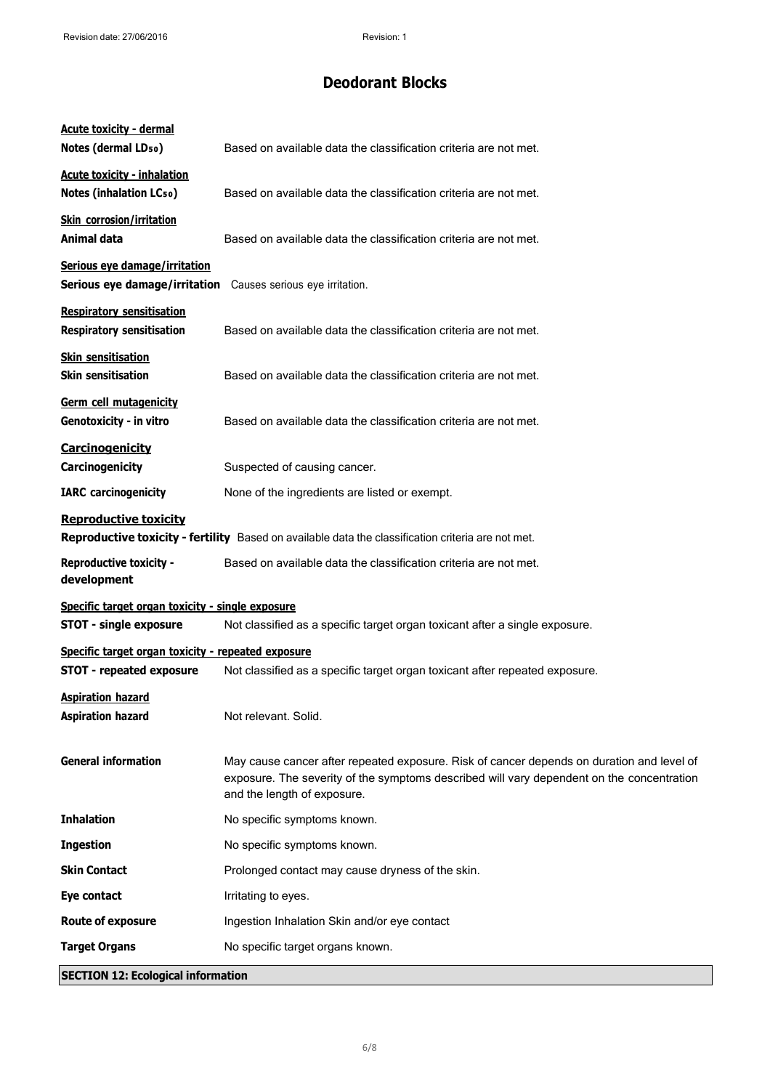| <b>Acute toxicity - dermal</b><br>Notes (dermal LD <sub>50</sub> )   | Based on available data the classification criteria are not met.                                                                                                                                                      |
|----------------------------------------------------------------------|-----------------------------------------------------------------------------------------------------------------------------------------------------------------------------------------------------------------------|
| <b>Acute toxicity - inhalation</b><br><b>Notes (inhalation LCso)</b> | Based on available data the classification criteria are not met.                                                                                                                                                      |
| <b>Skin corrosion/irritation</b><br>Animal data                      | Based on available data the classification criteria are not met.                                                                                                                                                      |
| Serious eye damage/irritation<br>Serious eye damage/irritation       | Causes serious eye irritation.                                                                                                                                                                                        |
| <b>Respiratory sensitisation</b><br><b>Respiratory sensitisation</b> | Based on available data the classification criteria are not met.                                                                                                                                                      |
| <b>Skin sensitisation</b><br><b>Skin sensitisation</b>               | Based on available data the classification criteria are not met.                                                                                                                                                      |
| <b>Germ cell mutagenicity</b><br>Genotoxicity - in vitro             | Based on available data the classification criteria are not met.                                                                                                                                                      |
| Carcinogenicity<br>Carcinogenicity                                   | Suspected of causing cancer.                                                                                                                                                                                          |
| <b>IARC</b> carcinogenicity                                          | None of the ingredients are listed or exempt.                                                                                                                                                                         |
| <b>Reproductive toxicity</b>                                         | Reproductive toxicity - fertility Based on available data the classification criteria are not met.                                                                                                                    |
| <b>Reproductive toxicity -</b><br>development                        | Based on available data the classification criteria are not met.                                                                                                                                                      |
| Specific target organ toxicity - single exposure                     |                                                                                                                                                                                                                       |
| <b>STOT - single exposure</b>                                        | Not classified as a specific target organ toxicant after a single exposure.                                                                                                                                           |
| Specific target organ toxicity - repeated exposure                   |                                                                                                                                                                                                                       |
| <b>STOT - repeated exposure</b>                                      | Not classified as a specific target organ toxicant after repeated exposure.                                                                                                                                           |
| <b>Aspiration hazard</b><br><b>Aspiration hazard</b>                 | Not relevant. Solid.                                                                                                                                                                                                  |
| <b>General information</b>                                           | May cause cancer after repeated exposure. Risk of cancer depends on duration and level of<br>exposure. The severity of the symptoms described will vary dependent on the concentration<br>and the length of exposure. |
| <b>Inhalation</b>                                                    | No specific symptoms known.                                                                                                                                                                                           |
| <b>Ingestion</b>                                                     | No specific symptoms known.                                                                                                                                                                                           |
| <b>Skin Contact</b>                                                  | Prolonged contact may cause dryness of the skin.                                                                                                                                                                      |
| Eye contact                                                          | Irritating to eyes.                                                                                                                                                                                                   |
| <b>Route of exposure</b>                                             | Ingestion Inhalation Skin and/or eye contact                                                                                                                                                                          |
| <b>Target Organs</b>                                                 | No specific target organs known.                                                                                                                                                                                      |
| <b>SECTION 12: Ecological information</b>                            |                                                                                                                                                                                                                       |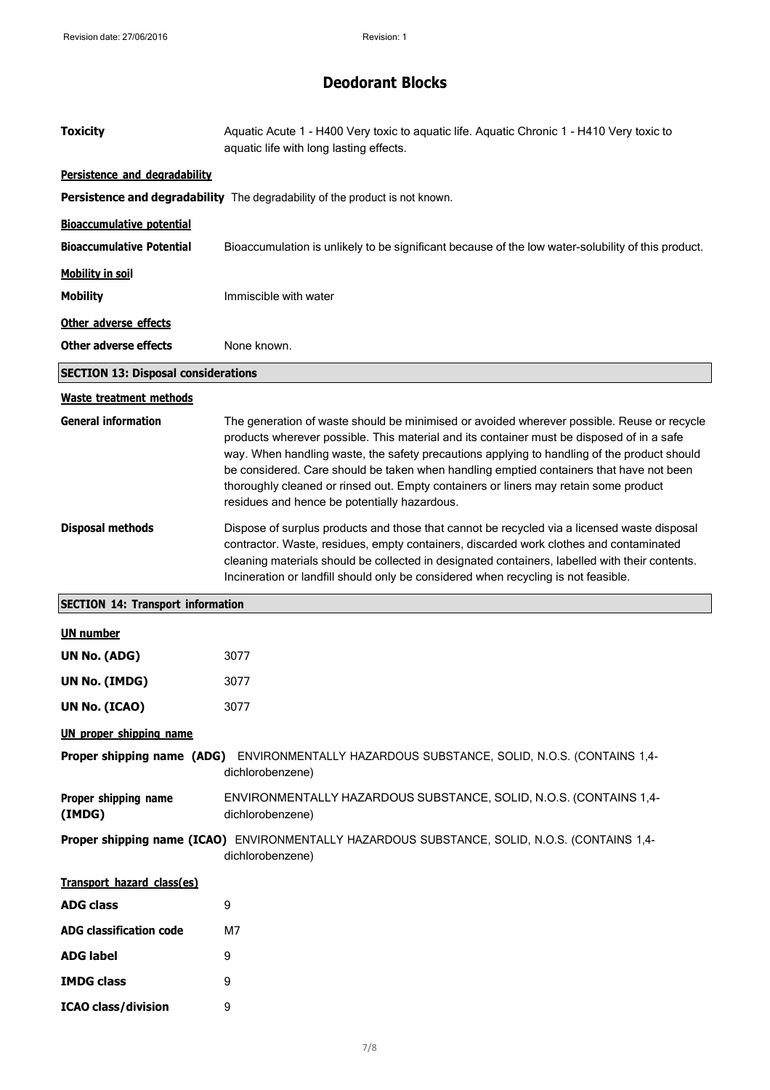| <b>Toxicity</b>                            | Aquatic Acute 1 - H400 Very toxic to aquatic life. Aquatic Chronic 1 - H410 Very toxic to<br>aquatic life with long lasting effects.                                                                                                                                                                                                                                                                                                                                                                                      |
|--------------------------------------------|---------------------------------------------------------------------------------------------------------------------------------------------------------------------------------------------------------------------------------------------------------------------------------------------------------------------------------------------------------------------------------------------------------------------------------------------------------------------------------------------------------------------------|
| Persistence and degradability              |                                                                                                                                                                                                                                                                                                                                                                                                                                                                                                                           |
|                                            | Persistence and degradability The degradability of the product is not known.                                                                                                                                                                                                                                                                                                                                                                                                                                              |
| <b>Bioaccumulative potential</b>           |                                                                                                                                                                                                                                                                                                                                                                                                                                                                                                                           |
| <b>Bioaccumulative Potential</b>           | Bioaccumulation is unlikely to be significant because of the low water-solubility of this product.                                                                                                                                                                                                                                                                                                                                                                                                                        |
| <b>Mobility in soil</b>                    |                                                                                                                                                                                                                                                                                                                                                                                                                                                                                                                           |
| <b>Mobility</b>                            | Immiscible with water                                                                                                                                                                                                                                                                                                                                                                                                                                                                                                     |
| Other adverse effects                      |                                                                                                                                                                                                                                                                                                                                                                                                                                                                                                                           |
| <b>Other adverse effects</b>               | None known.                                                                                                                                                                                                                                                                                                                                                                                                                                                                                                               |
| <b>SECTION 13: Disposal considerations</b> |                                                                                                                                                                                                                                                                                                                                                                                                                                                                                                                           |
| <b>Waste treatment methods</b>             |                                                                                                                                                                                                                                                                                                                                                                                                                                                                                                                           |
| <b>General information</b>                 | The generation of waste should be minimised or avoided wherever possible. Reuse or recycle<br>products wherever possible. This material and its container must be disposed of in a safe<br>way. When handling waste, the safety precautions applying to handling of the product should<br>be considered. Care should be taken when handling emptied containers that have not been<br>thoroughly cleaned or rinsed out. Empty containers or liners may retain some product<br>residues and hence be potentially hazardous. |
| <b>Disposal methods</b>                    | Dispose of surplus products and those that cannot be recycled via a licensed waste disposal<br>contractor. Waste, residues, empty containers, discarded work clothes and contaminated<br>cleaning materials should be collected in designated containers, labelled with their contents.<br>Incineration or landfill should only be considered when recycling is not feasible.                                                                                                                                             |
|                                            |                                                                                                                                                                                                                                                                                                                                                                                                                                                                                                                           |
| <b>SECTION 14: Transport information</b>   |                                                                                                                                                                                                                                                                                                                                                                                                                                                                                                                           |
| <b>UN number</b>                           |                                                                                                                                                                                                                                                                                                                                                                                                                                                                                                                           |
| UN No. (ADG)                               | 3077                                                                                                                                                                                                                                                                                                                                                                                                                                                                                                                      |
| UN No. (IMDG)                              | 3077                                                                                                                                                                                                                                                                                                                                                                                                                                                                                                                      |
| <b>UN No. (ICAO)</b>                       | 3077                                                                                                                                                                                                                                                                                                                                                                                                                                                                                                                      |
| <b>UN proper shipping name</b>             |                                                                                                                                                                                                                                                                                                                                                                                                                                                                                                                           |
| Proper shipping name (ADG)                 | ENVIRONMENTALLY HAZARDOUS SUBSTANCE, SOLID, N.O.S. (CONTAINS 1,4-<br>dichlorobenzene)                                                                                                                                                                                                                                                                                                                                                                                                                                     |
| Proper shipping name<br>(IMDG)             | ENVIRONMENTALLY HAZARDOUS SUBSTANCE, SOLID, N.O.S. (CONTAINS 1,4-<br>dichlorobenzene)                                                                                                                                                                                                                                                                                                                                                                                                                                     |
|                                            | Proper shipping name (ICAO) ENVIRONMENTALLY HAZARDOUS SUBSTANCE, SOLID, N.O.S. (CONTAINS 1,4-<br>dichlorobenzene)                                                                                                                                                                                                                                                                                                                                                                                                         |
| Transport hazard class(es)                 |                                                                                                                                                                                                                                                                                                                                                                                                                                                                                                                           |
| <b>ADG class</b>                           | 9                                                                                                                                                                                                                                                                                                                                                                                                                                                                                                                         |
| <b>ADG classification code</b>             | M7                                                                                                                                                                                                                                                                                                                                                                                                                                                                                                                        |
| <b>ADG label</b>                           | 9                                                                                                                                                                                                                                                                                                                                                                                                                                                                                                                         |
| <b>IMDG class</b>                          | 9                                                                                                                                                                                                                                                                                                                                                                                                                                                                                                                         |